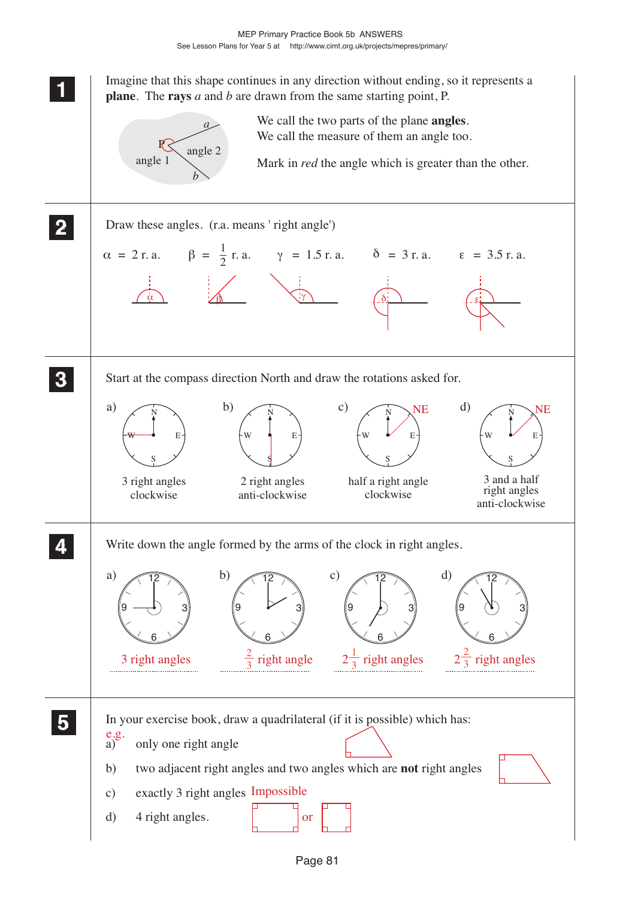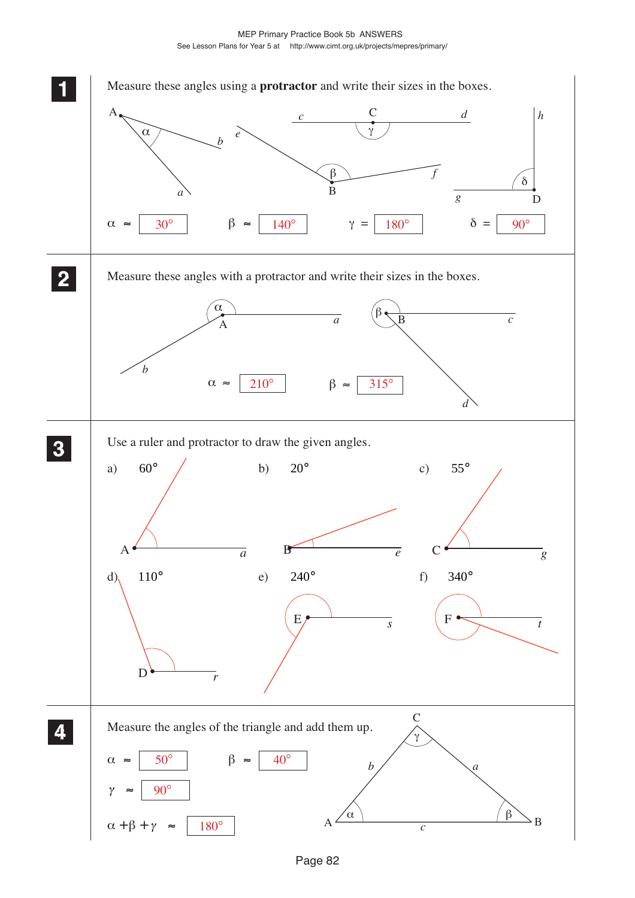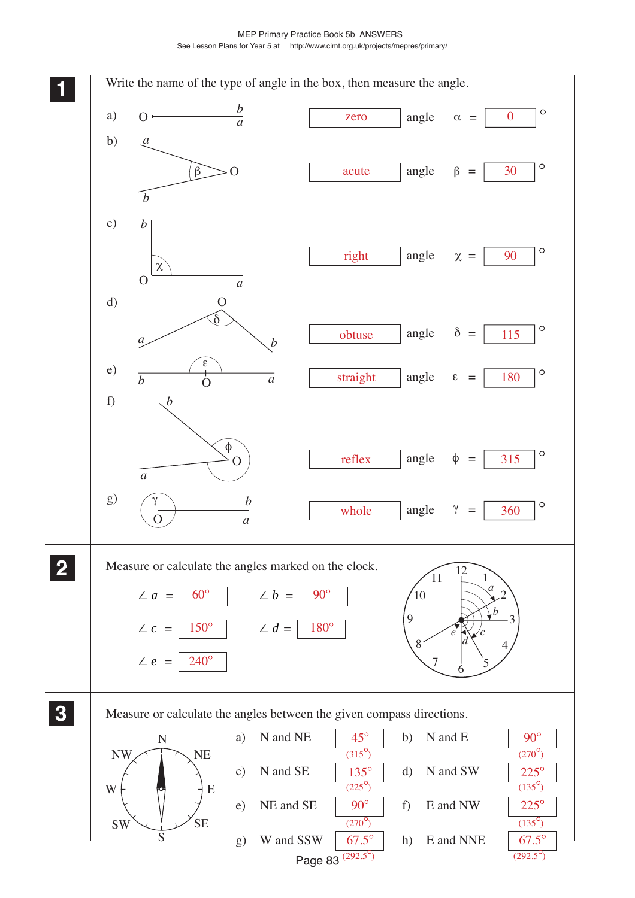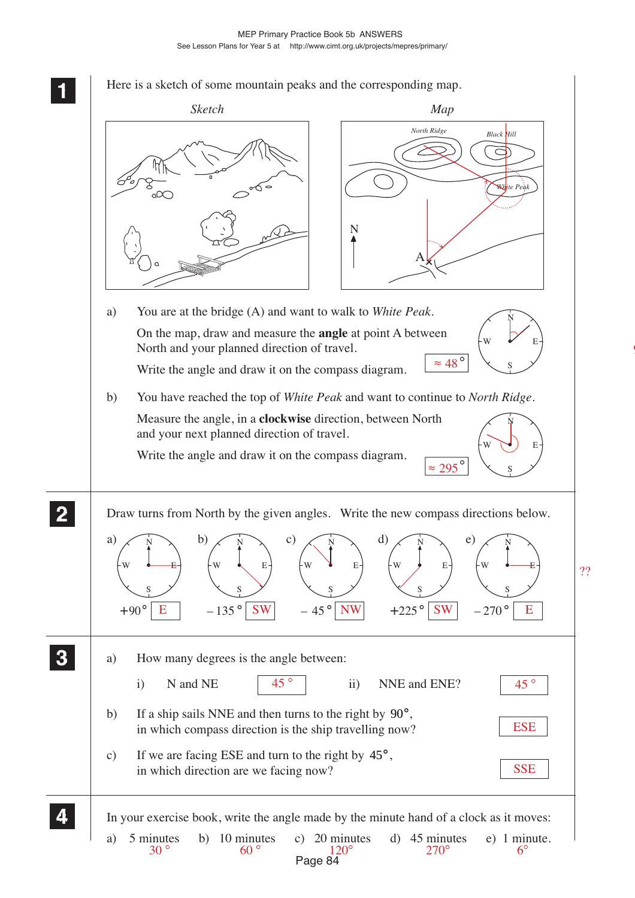

9

# Page 84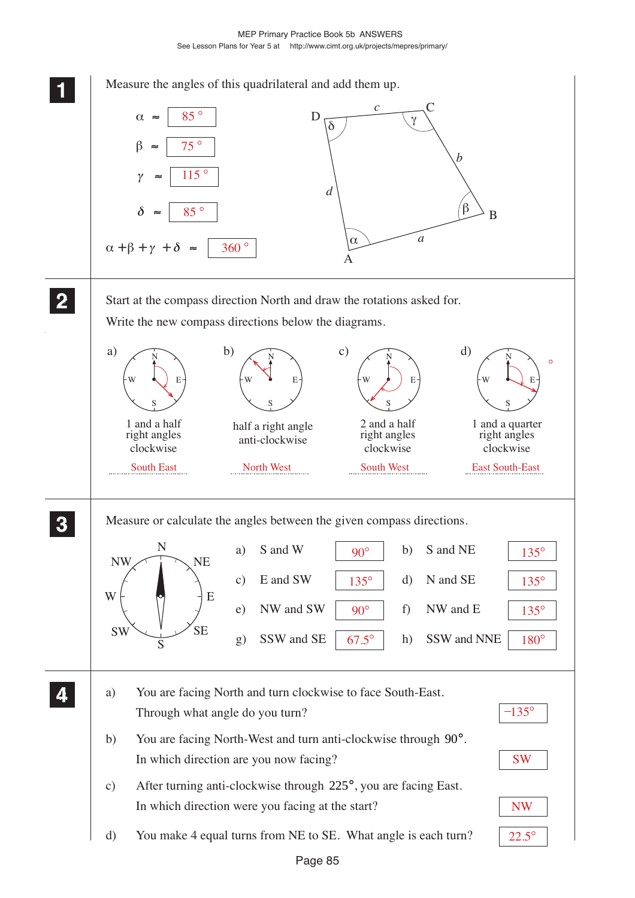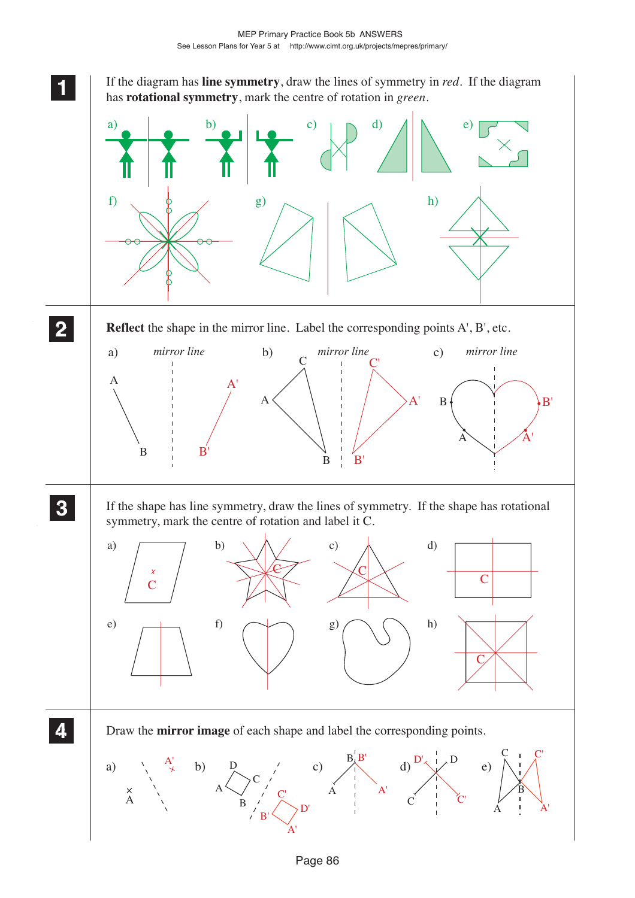**1 11**

**<sup>11</sup>** If the diagram has **line symmetry**, draw the lines of symmetry in *red.* If the diagram has **rotational symmetry**, mark the centre of rotation in *green*.

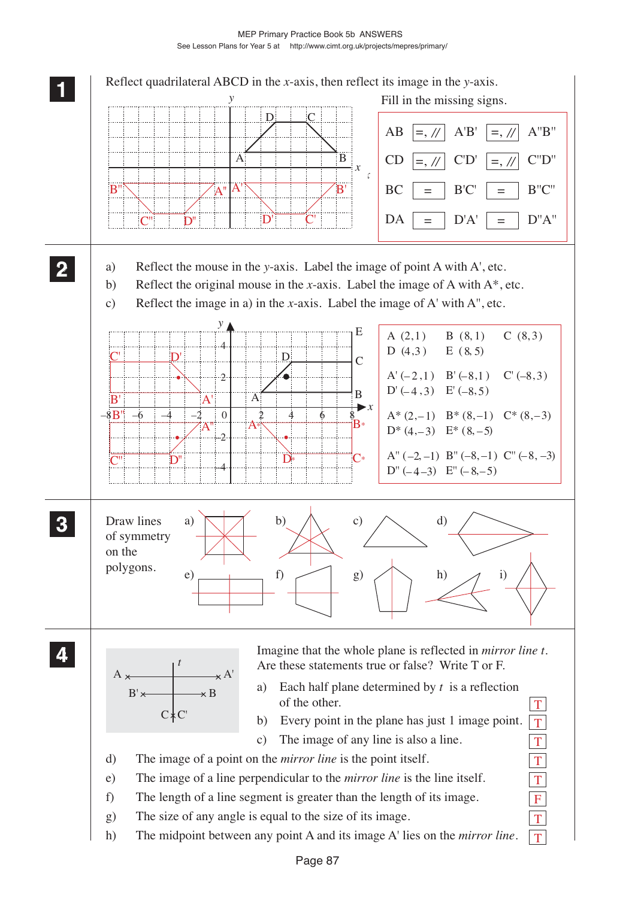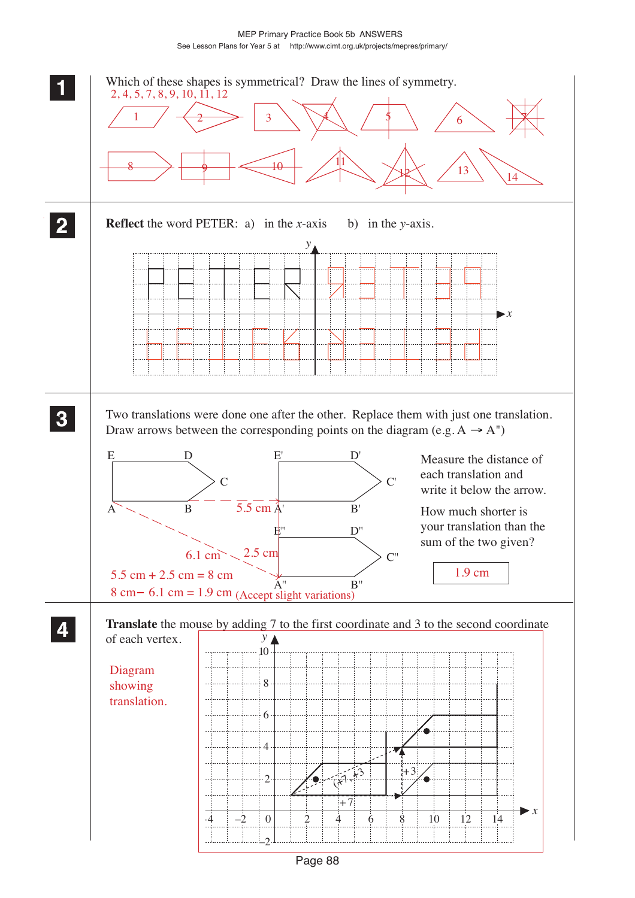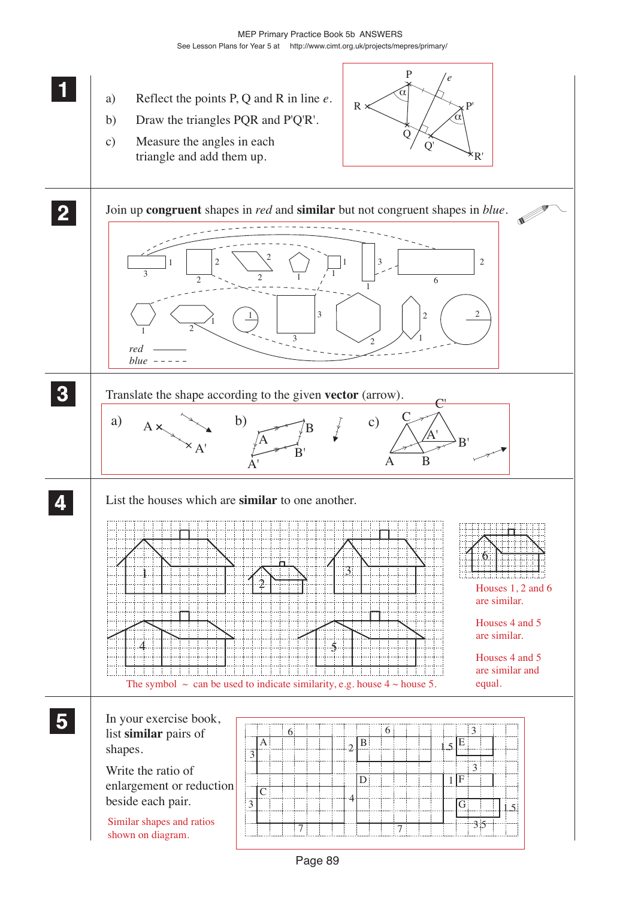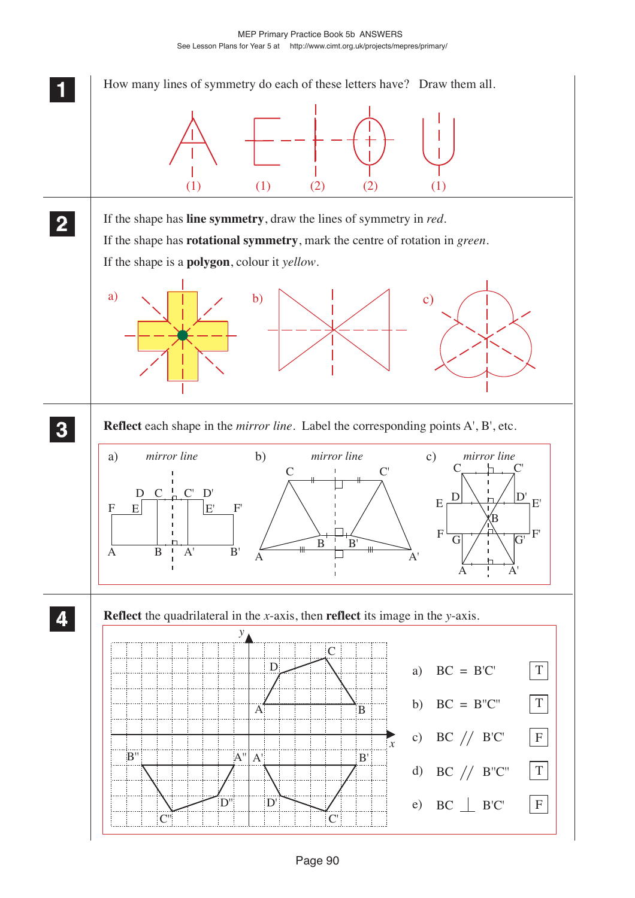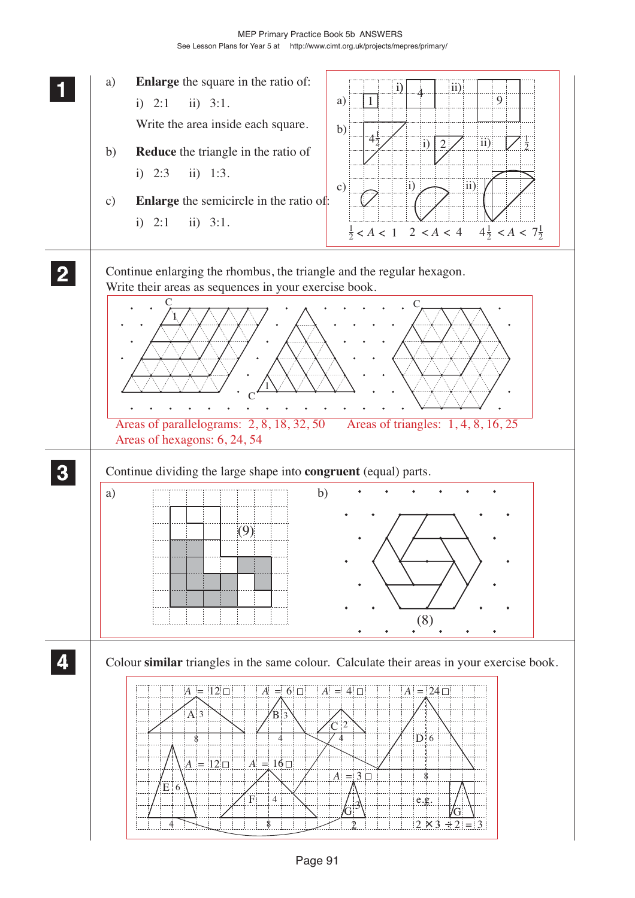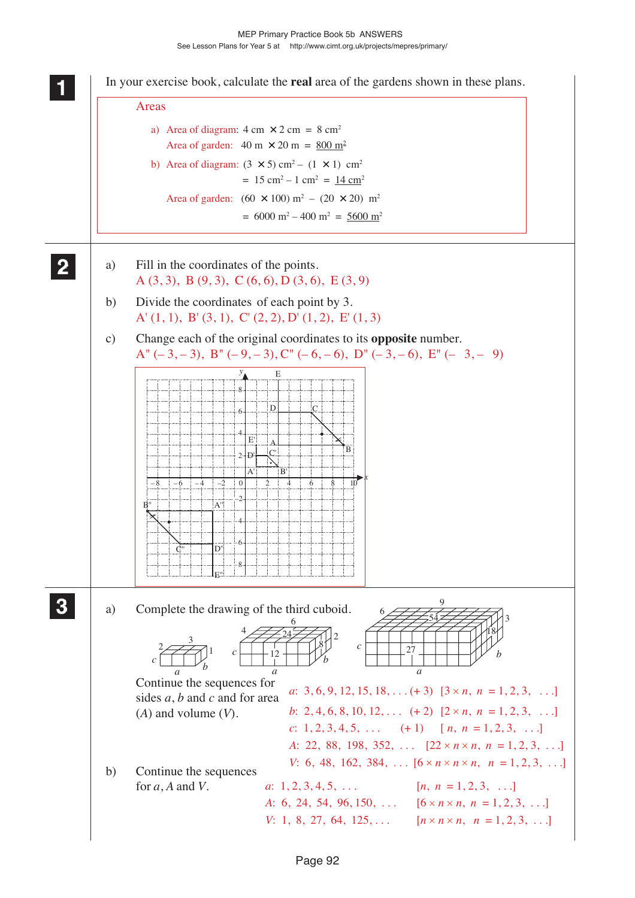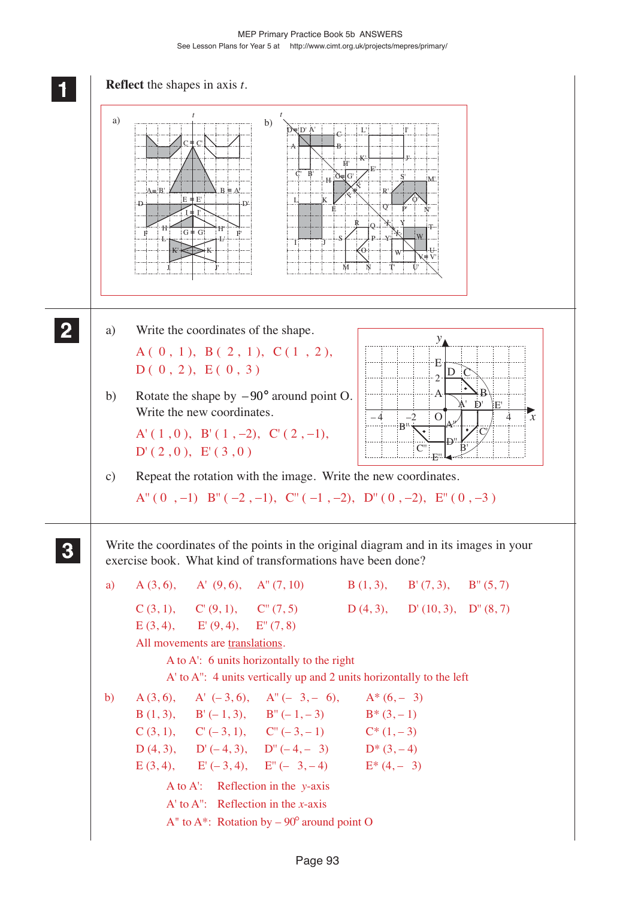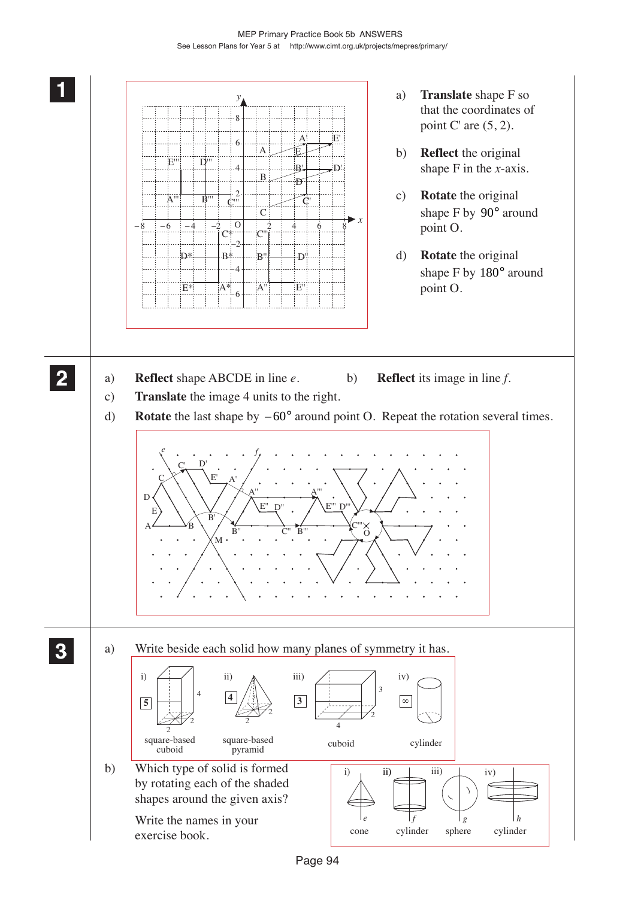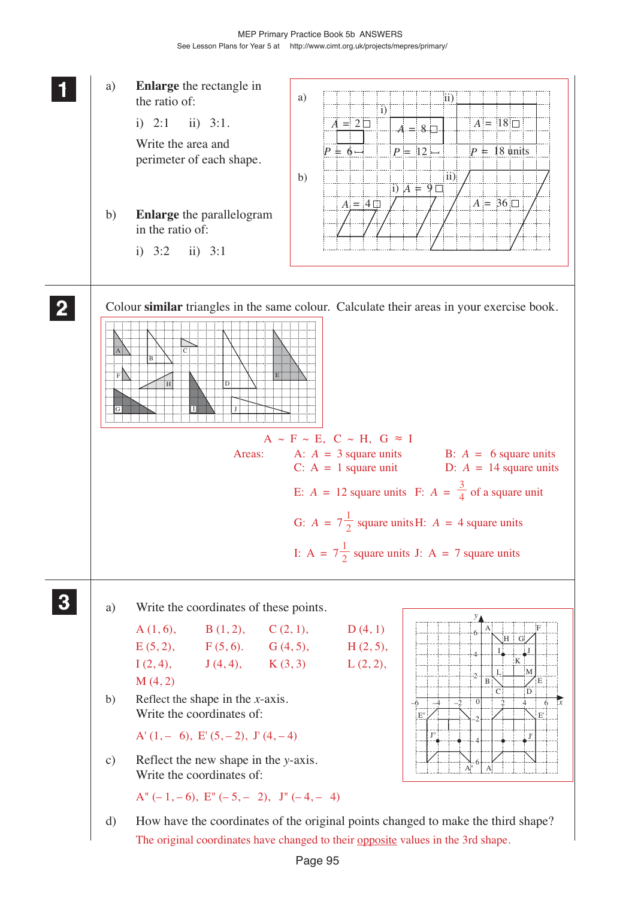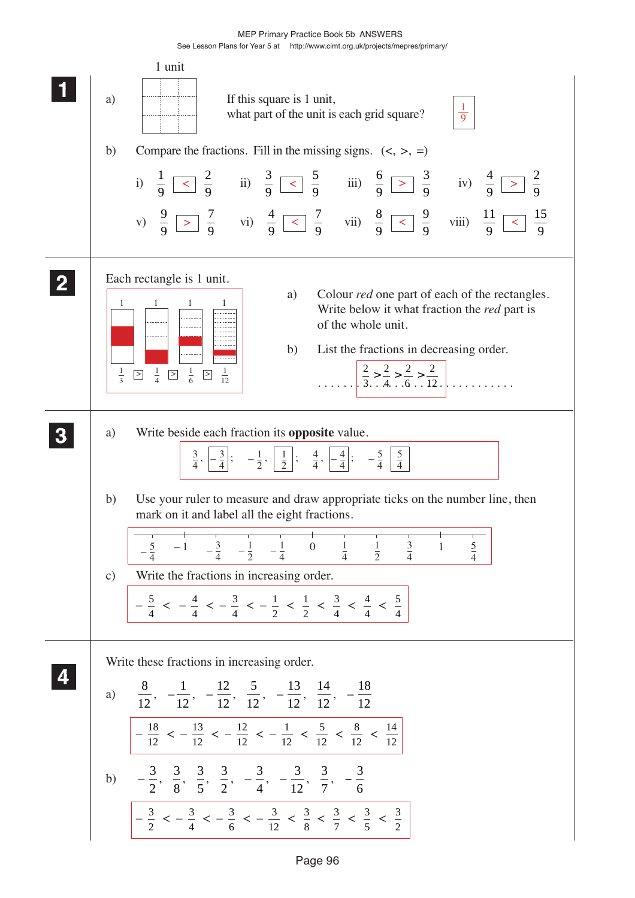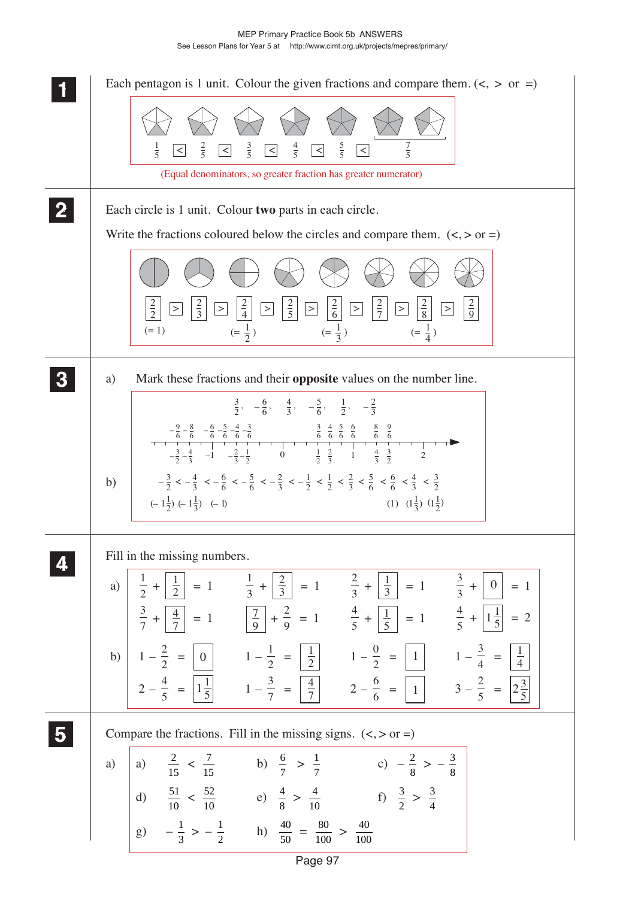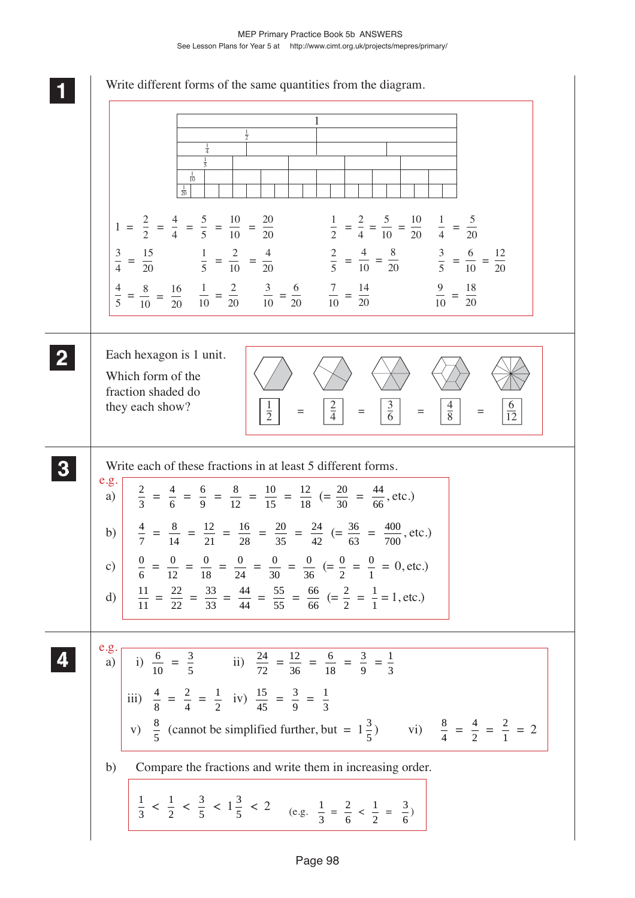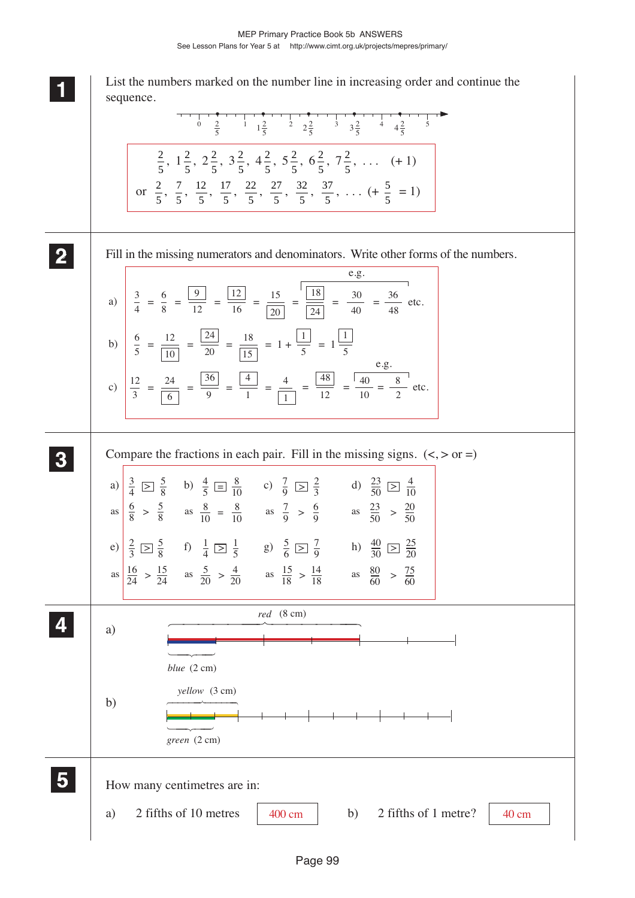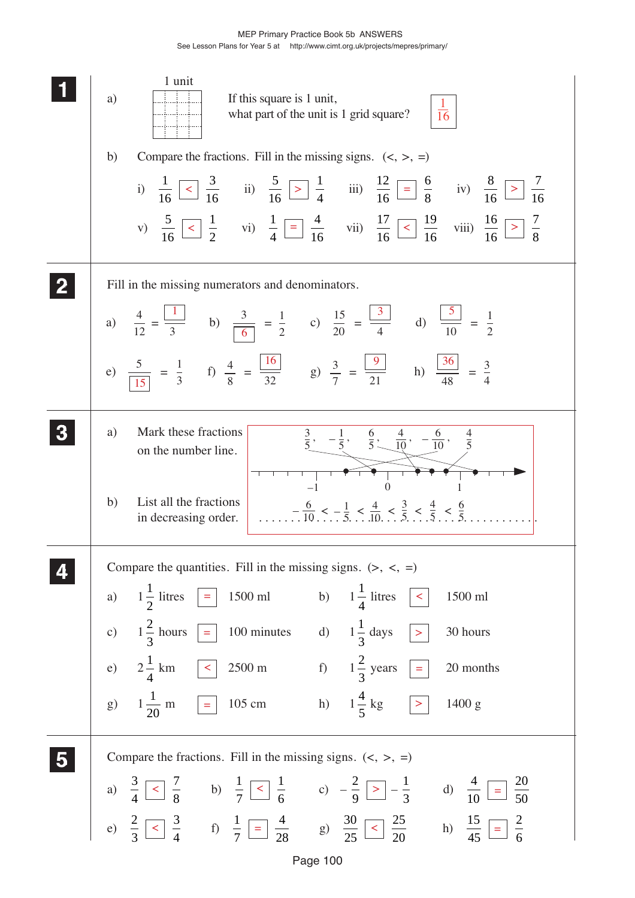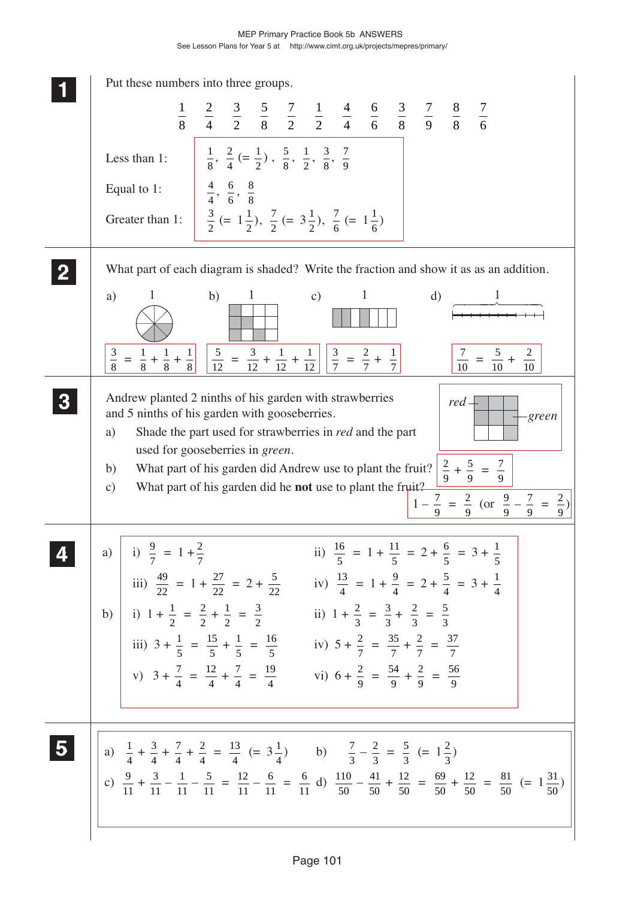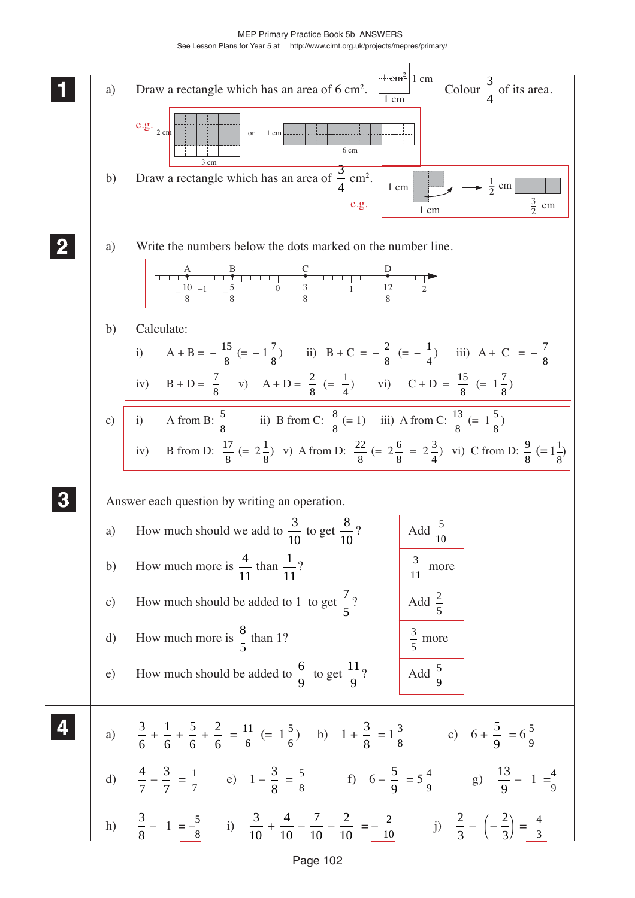MEP Primary Practice Book 5b ANSWERS

See Lesson Plans for Year 5 at http://www.cimt.org.uk/projects/mepres/primary/

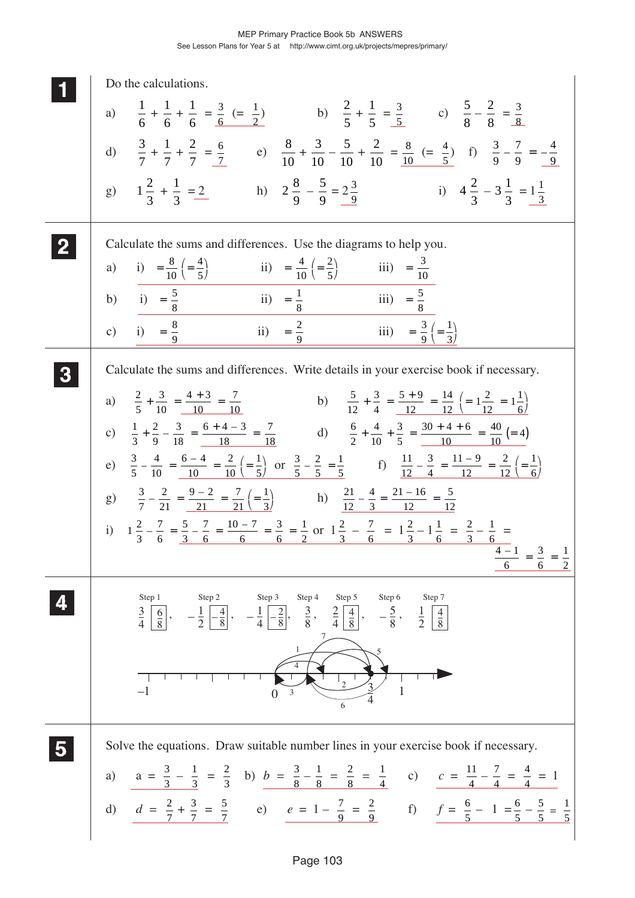| Do the calculations.                                                                                                                                                                                                                                                                                                            |
|---------------------------------------------------------------------------------------------------------------------------------------------------------------------------------------------------------------------------------------------------------------------------------------------------------------------------------|
| a) $\frac{1}{6} + \frac{1}{6} + \frac{1}{6} = \frac{3}{6} (= \frac{1}{2})$ b) $\frac{2}{5} + \frac{1}{5} = \frac{3}{5}$ c) $\frac{5}{8} - \frac{2}{8} = \frac{3}{8}$                                                                                                                                                            |
| d) $\frac{3}{7} + \frac{1}{7} + \frac{2}{7} = \frac{6}{7}$ e) $\frac{8}{10} + \frac{3}{10} - \frac{5}{10} + \frac{2}{10} = \frac{8}{10} (= \frac{4}{5})$ f) $\frac{3}{9} - \frac{7}{9} = -\frac{4}{9}$                                                                                                                          |
| g) $1\frac{2}{3} + \frac{1}{3} = \frac{2}{3}$ h) $2\frac{8}{9} - \frac{5}{9} = 2\frac{3}{9}$ i) $4\frac{2}{3} - 3\frac{1}{3} = 1\frac{1}{3}$                                                                                                                                                                                    |
| Calculate the sums and differences. Use the diagrams to help you.                                                                                                                                                                                                                                                               |
| a) i) = $\frac{8}{10} \left( = \frac{4}{5} \right)$ ii) = $\frac{4}{10} \left( = \frac{2}{5} \right)$ iii) = $\frac{3}{10}$                                                                                                                                                                                                     |
| b) i) = $\frac{5}{8}$ iii) = $\frac{1}{8}$ iiii) = $\frac{5}{8}$                                                                                                                                                                                                                                                                |
| ii) = $\frac{2}{9}$ iii) = $\frac{3}{9} \left( = \frac{1}{3} \right)$<br>c) i) = $\frac{8}{9}$                                                                                                                                                                                                                                  |
| Calculate the sums and differences. Write details in your exercise book if necessary.                                                                                                                                                                                                                                           |
| b) $\frac{5}{12} + \frac{3}{4} = \frac{5+9}{12} = \frac{14}{12} \left( = 1\frac{2}{12} = 1\frac{1}{6} \right)$<br>a) $\frac{2}{5} + \frac{3}{10} = \frac{4+3}{10} = \frac{7}{10}$                                                                                                                                               |
| c) $\frac{1}{3} + \frac{2}{9} - \frac{3}{18} = \frac{6+4-3}{18} = \frac{7}{18}$ d) $\frac{6}{2} + \frac{4}{10} + \frac{3}{5} = \frac{30+4+6}{10} = \frac{40}{10} = 4$                                                                                                                                                           |
| e) $\frac{3}{5} - \frac{4}{10} = \frac{6-4}{10} = \frac{2}{10} \left( = \frac{1}{5} \right)$ or $\frac{3}{5} - \frac{2}{5} = \frac{1}{5}$ f) $\frac{11}{12} - \frac{3}{4} = \frac{11-9}{12} = \frac{2}{12} \left( = \frac{1}{6} \right)$                                                                                        |
| g) $\frac{3}{7} - \frac{2}{21} = \frac{9-2}{21} = \frac{7}{21} \left( = \frac{1}{3} \right)$ h) $\frac{21}{12} - \frac{4}{3} = \frac{21-16}{12} = \frac{5}{12}$                                                                                                                                                                 |
| i) $1\frac{2}{3} - \frac{7}{6} = \frac{5}{3} - \frac{7}{6} = \frac{10 - 7}{6} = \frac{3}{6} = \frac{1}{2}$ or $1\frac{2}{3} - \frac{7}{6} = 1\frac{2}{3} - 1\frac{1}{6} = \frac{2}{3} - \frac{1}{6} =$                                                                                                                          |
|                                                                                                                                                                                                                                                                                                                                 |
| Step 3<br>Step 4<br>Step 5<br>Step 1<br>Step 2<br>Step 6<br>Step 7<br>$\frac{3}{4}$ $\left \frac{6}{8}\right $ , $-\frac{1}{2}$ $\left -\frac{4}{8}\right $ , $-\frac{1}{4}$ $\left -\frac{2}{8}\right $ , $\frac{3}{8}$ , $\frac{2}{4}$ $\left \frac{4}{8}\right $ , $-\frac{5}{8}$ , $\frac{1}{2}$ $\left \frac{4}{8}\right $ |
| $\mathbf{1}$                                                                                                                                                                                                                                                                                                                    |
| $\mathbf{1}$<br>$-1$<br>$\mathfrak{Z}$<br>6                                                                                                                                                                                                                                                                                     |
| Solve the equations. Draw suitable number lines in your exercise book if necessary.                                                                                                                                                                                                                                             |
| a) $a = \frac{3}{3} - \frac{1}{3} = \frac{2}{3}$ b) $b = \frac{3}{8} - \frac{1}{8} = \frac{2}{8} = \frac{1}{4}$ c) $c = \frac{11}{4} - \frac{1}{4} = \frac{4}{4} = 1$                                                                                                                                                           |
| d) $d = \frac{2}{7} + \frac{3}{7} = \frac{5}{7}$ e) $e = 1 - \frac{7}{9} = \frac{2}{9}$ f) $f = \frac{6}{5} - 1 = \frac{6}{5} - \frac{5}{5} = \frac{1}{5}$                                                                                                                                                                      |
|                                                                                                                                                                                                                                                                                                                                 |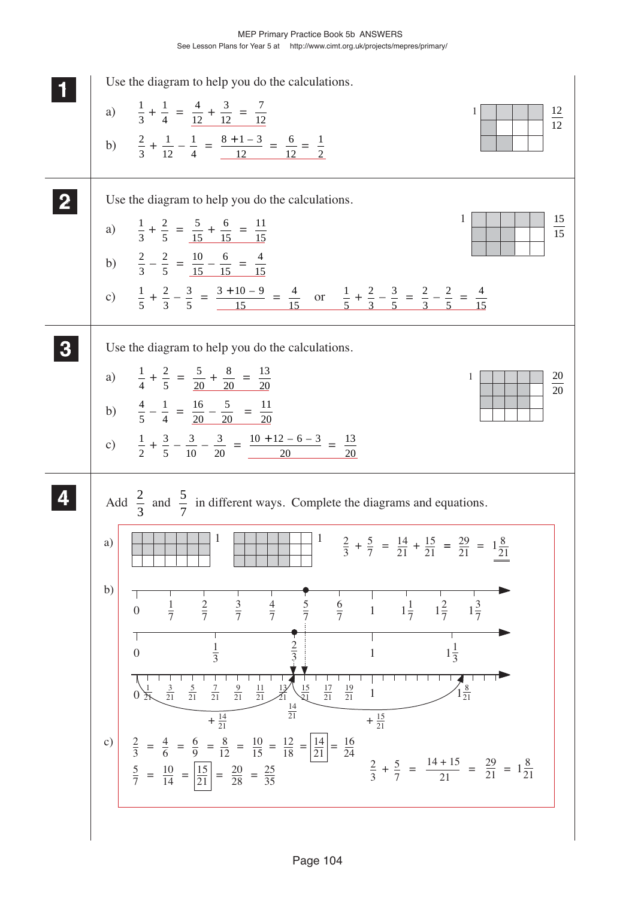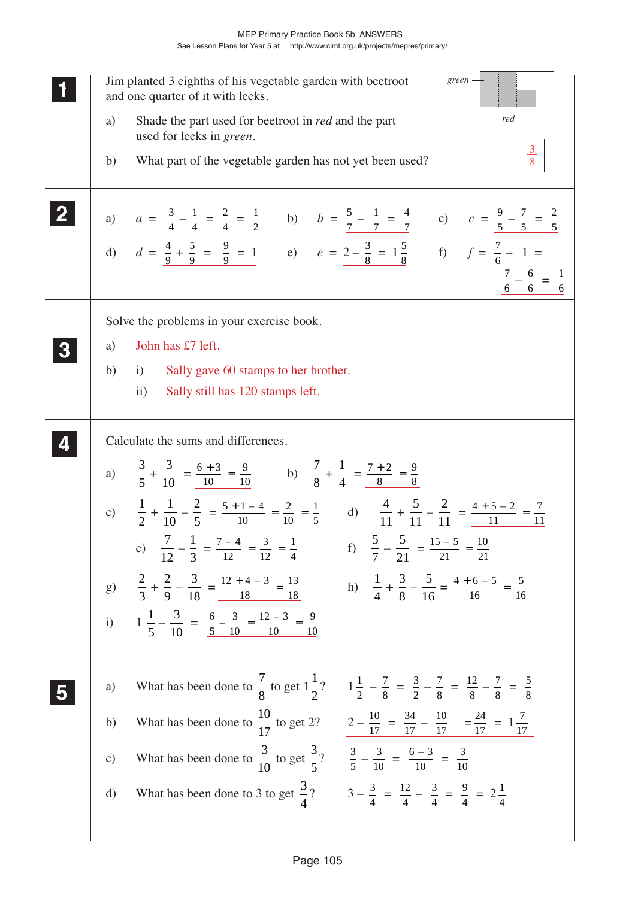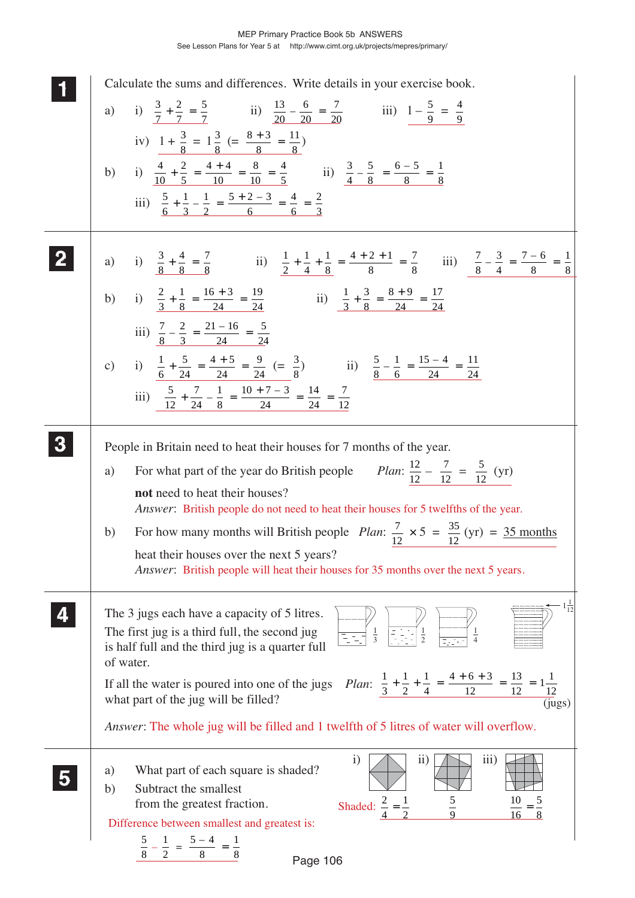| Calculate the sums and differences. Write details in your exercise book.<br>a) i) $\frac{3}{7} + \frac{2}{7} = \frac{5}{7}$ ii) $\frac{13}{20} - \frac{6}{20} = \frac{7}{20}$ iii) $1 - \frac{5}{9} = \frac{4}{9}$<br>iv) $1 + \frac{3}{8} = 1\frac{3}{8} (= \frac{8+3}{8} = \frac{11}{8})$<br>b) i) $\frac{4}{10} + \frac{2}{5} = \frac{4+4}{10} = \frac{8}{10} = \frac{4}{5}$ ii) $\frac{3}{4} - \frac{5}{8} = \frac{6-5}{8} = \frac{1}{8}$<br>iii) $\frac{5}{6} + \frac{1}{3} - \frac{1}{2} = \frac{5+2-3}{6} = \frac{4}{6} = \frac{2}{3}$                                                                                                                                       |
|-------------------------------------------------------------------------------------------------------------------------------------------------------------------------------------------------------------------------------------------------------------------------------------------------------------------------------------------------------------------------------------------------------------------------------------------------------------------------------------------------------------------------------------------------------------------------------------------------------------------------------------------------------------------------------------|
| a) i) $\frac{3}{8} + \frac{4}{8} = \frac{7}{8}$ ii) $\frac{1}{2} + \frac{1}{4} + \frac{1}{8} = \frac{4+2+1}{8} = \frac{7}{8}$ iii) $\frac{7}{8} - \frac{3}{4} = \frac{7-6}{8} = \frac{1}{8}$<br>b) i) $\frac{2}{3} + \frac{1}{8} = \frac{16 + 3}{24} = \frac{19}{24}$ ii) $\frac{1}{3} + \frac{3}{8} = \frac{8 + 9}{24} = \frac{17}{24}$<br>iii) $\frac{7}{8} - \frac{2}{3} = \frac{21 - 16}{24} = \frac{5}{24}$<br>c) i) $\frac{1}{6} + \frac{5}{24} = \frac{4+5}{24} = \frac{9}{24} (= \frac{3}{8})$ ii) $\frac{5}{8} - \frac{1}{6} = \frac{15-4}{24} = \frac{11}{24}$<br>iii) $\frac{5}{12} + \frac{7}{24} - \frac{1}{8} = \frac{10 + 7 - 3}{24} = \frac{14}{24} = \frac{7}{12}$ |
| People in Britain need to heat their houses for 7 months of the year.<br><i>Plan:</i> $\frac{12}{12} - \frac{7}{12} = \frac{5}{12}$ (yr)<br>For what part of the year do British people<br>a)<br>not need to heat their houses?<br>Answer: British people do not need to heat their houses for 5 twelfths of the year.<br>For how many months will British people <i>Plan</i> : $\frac{7}{12} \times 5 = \frac{35}{12}$ (yr) = 35 months<br>b)<br>heat their houses over the next 5 years?<br>Answer: British people will heat their houses for 35 months over the next 5 years.                                                                                                    |
| $\frac{1}{12}$<br>The 3 jugs each have a capacity of 5 litres.<br>$\frac{1}{2}$<br>$\frac{1}{3}$<br>The first jug is a third full, the second jug<br>is half full and the third jug is a quarter full<br>of water.<br>of water.<br>If all the water is poured into one of the jugs Plan: $\frac{1}{3} + \frac{1}{2} + \frac{1}{4} = \frac{4+6+3}{12} = \frac{13}{12} = 1\frac{1}{12}$<br>(jugs)<br>Answer: The whole jug will be filled and 1 twelfth of 5 litres of water will overflow.                                                                                                                                                                                           |
| 1)<br>11)<br>11 <sub>1</sub> )<br>What part of each square is shaded?<br>a)<br>Subtract the smallest<br>b)<br>$rac{5}{9}$<br>Shaded: $\frac{2}{4} = \frac{1}{2}$<br>from the greatest fraction.<br>Difference between smallest and greatest is:<br>$\frac{5}{8} - \frac{1}{2} = \frac{5-4}{8} = \frac{1}{8}$<br>$P2$ na 106                                                                                                                                                                                                                                                                                                                                                         |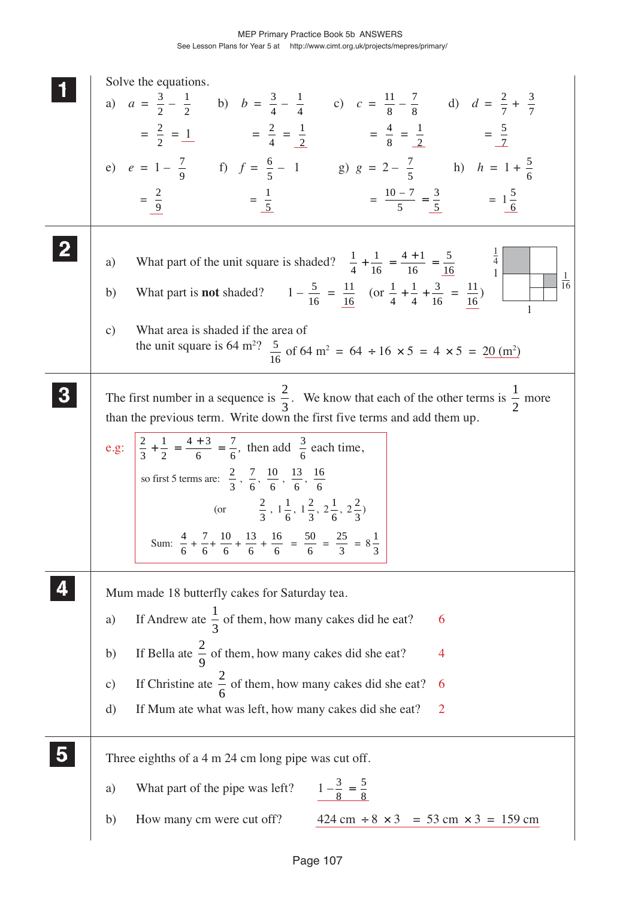|                         | Solve the equations.                                                                                                                                                                     |
|-------------------------|------------------------------------------------------------------------------------------------------------------------------------------------------------------------------------------|
|                         | a) $a = \frac{3}{2} - \frac{1}{2}$ b) $b = \frac{3}{4} - \frac{1}{4}$ c) $c = \frac{11}{8} - \frac{7}{8}$ d) $d = \frac{2}{7} + \frac{3}{7}$                                             |
|                         | $=\frac{2}{2}=\frac{1}{4}$ $=\frac{2}{4}=\frac{1}{2}$ $=\frac{4}{8}=\frac{1}{2}$ $=\frac{5}{7}$                                                                                          |
|                         |                                                                                                                                                                                          |
|                         | e) $e = 1 - \frac{7}{9}$ f) $f = \frac{6}{5} - 1$ g) $g = 2 - \frac{7}{5}$ h) $h = 1 + \frac{5}{6}$                                                                                      |
|                         | $=\frac{10-7}{5}=\frac{3}{5}$ $=1\frac{5}{6}$<br>$=\frac{2}{9}$<br>$=\frac{1}{5}$                                                                                                        |
| $\bf{2}$                | What part of the unit square is shaded? $\frac{1}{4} + \frac{1}{16} = \frac{4+1}{16} = \frac{5}{16}$<br>a)                                                                               |
|                         | $\mathbf{1}$<br>$\overline{16}$<br>What part is <b>not</b> shaded? $1 - \frac{5}{16} = \frac{11}{16}$ (or $\frac{1}{4} + \frac{1}{4} + \frac{3}{16} = \frac{11}{16}$ )<br>b)             |
|                         | What area is shaded if the area of<br>$\mathbf{c})$<br>the unit square is 64 m <sup>2</sup> ? $\frac{5}{16}$ of 64 m <sup>2</sup> = 64 ÷ 16 × 5 = 4 × 5 = 20 (m <sup>2</sup> )           |
|                         |                                                                                                                                                                                          |
|                         | The first number in a sequence is $\frac{2}{3}$ . We know that each of the other terms is $\frac{1}{2}$ more<br>than the previous term. Write down the first five terms and add them up. |
|                         |                                                                                                                                                                                          |
|                         | e.g: $\left \frac{2}{3} + \frac{1}{2}\right  = \frac{4+3}{6} = \frac{7}{6}$ , then add $\frac{3}{6}$ each time,                                                                          |
|                         | so first 5 terms are: $\frac{2}{3}$ , $\frac{7}{6}$ , $\frac{10}{6}$ , $\frac{13}{6}$ , $\frac{16}{6}$                                                                                   |
|                         | (or $\frac{2}{3}$ , $1\frac{1}{6}$ , $1\frac{2}{3}$ , $2\frac{1}{6}$ , $2\frac{2}{3}$ )                                                                                                  |
|                         |                                                                                                                                                                                          |
|                         | Sum: $\frac{4}{6} + \frac{7}{6} + \frac{10}{6} + \frac{13}{6} + \frac{16}{6} = \frac{50}{6} = \frac{25}{3} = 8\frac{1}{3}$                                                               |
|                         |                                                                                                                                                                                          |
|                         | Mum made 18 butterfly cakes for Saturday tea.                                                                                                                                            |
|                         | If Andrew ate $\frac{1}{3}$ of them, how many cakes did he eat?<br>6<br>a)                                                                                                               |
|                         | If Bella ate $\frac{2}{9}$ of them, how many cakes did she eat?<br>b)<br>4                                                                                                               |
|                         | If Christine ate $\frac{2}{6}$ of them, how many cakes did she eat?<br>$\circ$ )                                                                                                         |
|                         | d)<br>$\overline{2}$<br>If Mum ate what was left, how many cakes did she eat?                                                                                                            |
| $\overline{\mathbf{5}}$ | Three eighths of a 4 m 24 cm long pipe was cut off.                                                                                                                                      |
|                         | $1-\frac{3}{8}=\frac{5}{8}$<br>What part of the pipe was left?<br>a)                                                                                                                     |
|                         | $424 \text{ cm} \div 8 \times 3 = 53 \text{ cm} \times 3 = 159 \text{ cm}$<br>How many cm were cut off?<br>b)                                                                            |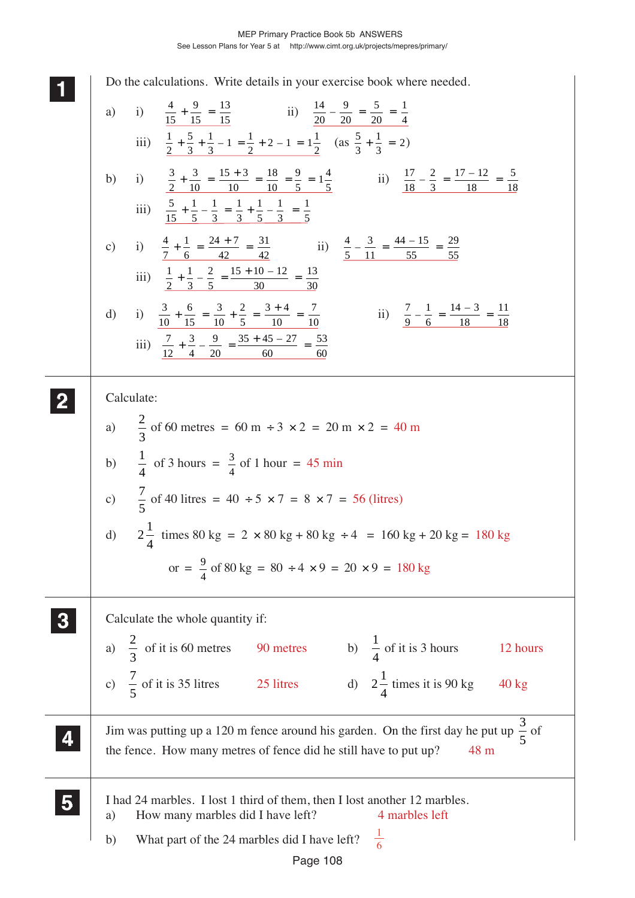**1 11 <sup>11</sup>** Do the calculations. Write details in your exercise book where needed. a) i)  $\frac{4}{15}$ 9 <u>15</u> 13  $+\frac{9}{15} = \frac{13}{15}$  ii)  $\frac{14}{20}$ 9  $\frac{20}{2}$ 5  $\frac{20}{2}$  $-\frac{9}{20} = \frac{5}{20} = \frac{1}{4}$ iii)  $\frac{1}{2}$ 5 3 1  $+\frac{5}{3} + \frac{1}{3} - 1 = \frac{1}{2} + 2 - 1 = 1\frac{1}{2}$  (as  $\frac{5}{3}$ 1  $+\frac{1}{3}$  = 2) b) i)  $\frac{3}{2}$ 3 <u>10</u>  $15 + 3$ <u>10</u> 18 <u>10</u> 9  $+\frac{3}{10} = \frac{15+3}{10} = \frac{18}{10} = \frac{9}{5} = 1\frac{4}{5}$  ii)  $\frac{17}{18}$ 2 3  $17 - 12$ <u>18</u>  $-\frac{2}{3} = \frac{17 - 12}{18} = \frac{5}{18}$ iii)  $\frac{5}{15}$ 1 5 1 3 1 3 1 5 1 3 1  $+\frac{1}{5}-\frac{1}{3}=\frac{1}{3}+\frac{1}{5}-\frac{1}{3}=\frac{1}{5}$ c) i)  $\frac{4}{7}$ 1 6  $24 + 7$ 42 31  $+\frac{1}{6} = \frac{24 + 7}{42} = \frac{31}{42}$  ii)  $\frac{4}{5}$ 3 11  $44 - 15$ 55  $-\frac{3}{11} = \frac{44 - 15}{55} = \frac{29}{55}$ iii)  $\frac{1}{2}$ 1 3 2 5  $15 + 10 - 12$ 30 13  $+\frac{1}{3} - \frac{2}{5} = \frac{15 + 10 - 12}{30} = \frac{13}{30}$ d) i)  $\frac{3}{10}$ 6 15 3 10 2 5  $3 + 4$ 10 7  $+\frac{6}{15} = \frac{3}{10} + \frac{2}{5} = \frac{3+4}{10} = \frac{7}{10}$  ii)  $\frac{7}{9}$ 1 6  $14 - 3$ 18  $-\frac{1}{6} = \frac{14 - 3}{18} = \frac{11}{18}$ iii)  $\frac{7}{12}$ 3 4 9 20  $35 + 45 - 27$ 60 53  $+\frac{3}{4} - \frac{9}{20} = \frac{35 + 45 - 27}{60} = \frac{53}{60}$ Calculate: a)  $\frac{2}{3}$ 3 of 60 metres =  $60 \text{ m} \div 3 \times 2 = 20 \text{ m} \times 2 = 40 \text{ m}$ b)  $\frac{1}{4}$ 4 of 3 hours =  $\frac{3}{4}$  of 1 hour = 45 min c)  $\frac{7}{5}$ 5 of 40 litres =  $40 \div 5 \times 7 = 8 \times 7 = 56$  (litres) d)  $2\frac{1}{4}$ 4 times  $80 \text{ kg} = 2 \times 80 \text{ kg} + 80 \text{ kg} \div 4 = 160 \text{ kg} + 20 \text{ kg} = 180 \text{ kg}$ or =  $\frac{9}{4}$  $\frac{9}{4}$  of 80 kg = 80 ÷ 4 × 9 = 20 × 9 = 180 kg Calculate the whole quantity if: a)  $\frac{2}{3}$ 3 of it is 60 metres 90 metres b)  $\frac{1}{4}$ 4 of it is 3 hours 12 hours c)  $\frac{7}{7}$ 5 of it is 35 litres 25 litres d)  $2\frac{1}{4}$ 4 times it is  $90 \text{ kg}$  40 kg Jim was putting up a 120 m fence around his garden. On the first day he put up  $\frac{3}{7}$ 5 of the fence. How many metres of fence did he still have to put up? 48 m I had 24 marbles. I lost 1 third of them, then I lost another 12 marbles. a) How many marbles did I have left? 4 marbles left b) What part of the 24 marbles did I have left? **2 22 22 3 33 33 4 44 44 5 55 55** 1 6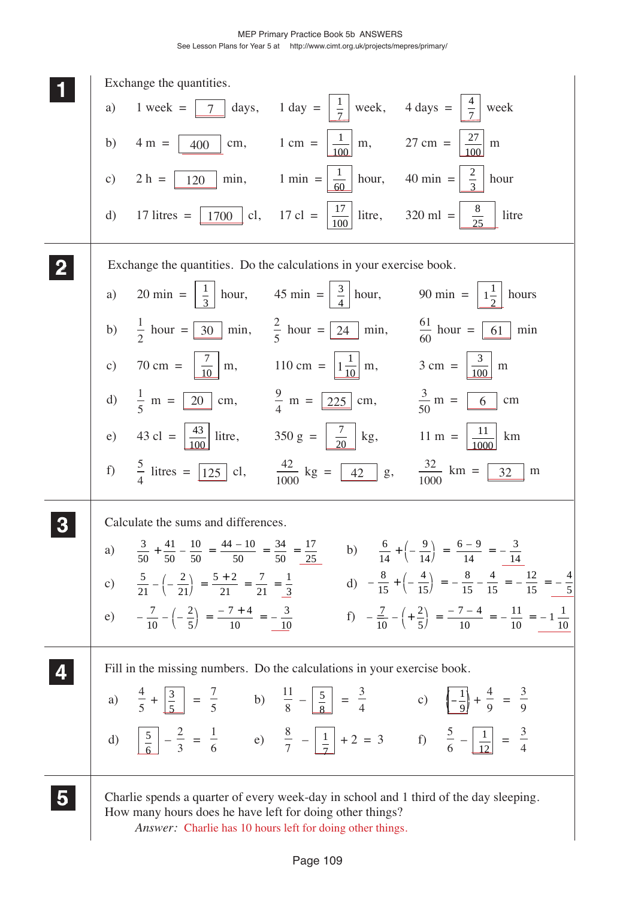c)  $2 h = \boxed{120}$  min,  $1 min = \boxed{\frac{1}{60}}$  hour,  $40 min = \boxed{\frac{2}{3}}$  hour b)  $4 \text{ m} = \boxed{400} \text{ cm}, \qquad 1 \text{ cm} = \boxed{\frac{1}{100}} \text{ m}, \qquad 27 \text{ cm} = \boxed{\frac{27}{100}} \text{ m}$  **11 22 33**  $\overline{7}$  days, 1 day =  $\frac{1}{7}$  a) 20 min =  $\frac{1}{3}$  hour, 45 min =  $\frac{3}{4}$  hour, 90 min =  $\frac{1}{2}$  hours a) 1 week =  $\boxed{7}$  days, 1 day =  $\boxed{\frac{1}{7}}$  week, 4 days =  $\boxed{\frac{4}{7}}$  week d) 17 litres =  $\boxed{1700}$  cl, 17 cl =  $\boxed{\frac{17}{100}}$  litre, 320 ml =  $\boxed{\frac{8}{25}}$  litre b)  $\frac{1}{2}$  hour =  $\boxed{30}$  min, c) 70 cm =  $\frac{7}{10}$  m, 110 cm =  $\frac{1}{10}$  m, 3 cm =  $\frac{3}{100}$  m d)  $\frac{1}{5}$  m =  $\boxed{20}$  cm,  $\frac{9}{5}$  m =  $\boxed{225}$  cm,  $\frac{3}{5}$  m =  $\boxed{6}$  cm  $\frac{2}{5}$  hour =  $\sqrt{24}$  min,  $\frac{61}{60}$  hour =  $\boxed{61}$  min  $\frac{30}{5}$  min,  $\frac{24}{5}$  hour =  $\frac{24}{5}$  min,  $\frac{64}{60}$  hour =  $\frac{61}{5}$   $\frac{9}{4}$  m = 225 cm,  $\frac{20}{4}$  cm,  $\frac{225}{4}$  cm,  $\frac{5}{50}$  m =  $\frac{6}{50}$ e) 43 cl =  $\frac{43}{100}$  litre, 350 g =  $\frac{7}{20}$  kg, 11 m =  $\frac{11}{1000}$  km f)  $\frac{5}{4}$  litres =  $\boxed{125}$  cl,  $\frac{42}{1000}$  kg =  $\boxed{42}$  g,  $\frac{32}{1000}$  km =  $\boxed{32}$  m  $\frac{125}{1000}$  kg =  $\frac{42}{1000}$  g,  $\frac{52}{1000}$  km =  $\frac{32}{1000}$  <u>20</u>  $-\frac{8}{15}$  +  $\left(-\frac{4}{15}\right)$  =  $-\frac{8}{15}$  -  $\frac{4}{15}$  =  $-\frac{12}{15}$  = -  $+\left(-\frac{4}{15}\right) = -\frac{8}{15} - \frac{4}{15} = -\frac{12}{15} = -\frac{4}{5}$ c)  $\frac{5}{21} - \left(-\frac{2}{21}\right) = \frac{5+2}{21} = \frac{7}{21} = \frac{1}{3}$  d)  $-\frac{8}{15} + \left(-\frac{4}{15}\right) = -\frac{8}{15} - \frac{4}{15} = -\frac{12}{15} =$  $-\frac{7}{10} - \left( +\frac{2}{5} \right) = \frac{-7-4}{10} = -\frac{11}{10} = 7 - 4$   $\left(+\frac{2}{5}\right) = \frac{-7-4}{10} = -\frac{11}{10} = -1\frac{1}{10}$ e)  $-\frac{7}{10} - \left(-\frac{2}{5}\right) = \frac{-7 + 4}{10} = -\frac{3}{10}$  f)  $-\frac{7}{10} - \left(+\frac{2}{5}\right) = \frac{-7 - 4}{10} = -\frac{11}{10} =$  **55** a)  $\frac{4}{5} + \frac{3}{5} = \frac{7}{5}$  b)  $\frac{11}{8} - \frac{5}{5} = \frac{3}{4}$  c)  $\left(-\frac{1}{8}\right) + \frac{4}{8} =$ d)  $\boxed{5} - \frac{2}{3} = \frac{1}{6}$  e)  $\frac{8}{7} - \boxed{1} + 2 = 3$  f)  $\boxed{5} - \boxed{1} =$  **44**  $\frac{5}{8}$  =  $\frac{5}{4}$  c)  $\left(-\frac{5}{8}\right)$ ⎞ ⎠ <u>12</u> Exchange the quantities. Exchange the quantities. Do the calculations in your exercise book. Calculate the sums and differences. a)  $\frac{3}{50}$   $44 - 10$   $+\frac{41}{50} - \frac{10}{50} = \frac{44 - 10}{50} = \frac{34}{50} = \frac{17}{25}$  b)  $\frac{6}{14}$   $6 - 9$   $+\left(-\frac{9}{14}\right) = \frac{6-9}{14} = -\frac{3}{14}$  $\left(-\frac{9}{14}\right) = \frac{6-9}{14} = 5 + 2$   $-\left(-\frac{2}{21}\right) = \frac{5+2}{21} = \frac{7}{21} = \frac{1}{3}$  $\Big) = \frac{5+2}{21} = \frac{7}{21} = \frac{1}{3}$  d)  $7 + 4$   $\sqrt{2}$ ⎝  $\frac{7+4}{10} = -\frac{3}{10}$  f)  $-\frac{7}{10}$ Fill in the missing numbers. Do the calculations in your exercise book. Charlie spends a quarter of every week-day in school and 1 third of the day sleeping. How many hours does he have left for doing other things? *Answer:* Charlie has 10 hours left for doing other things. <u>100</u> <u>10</u>